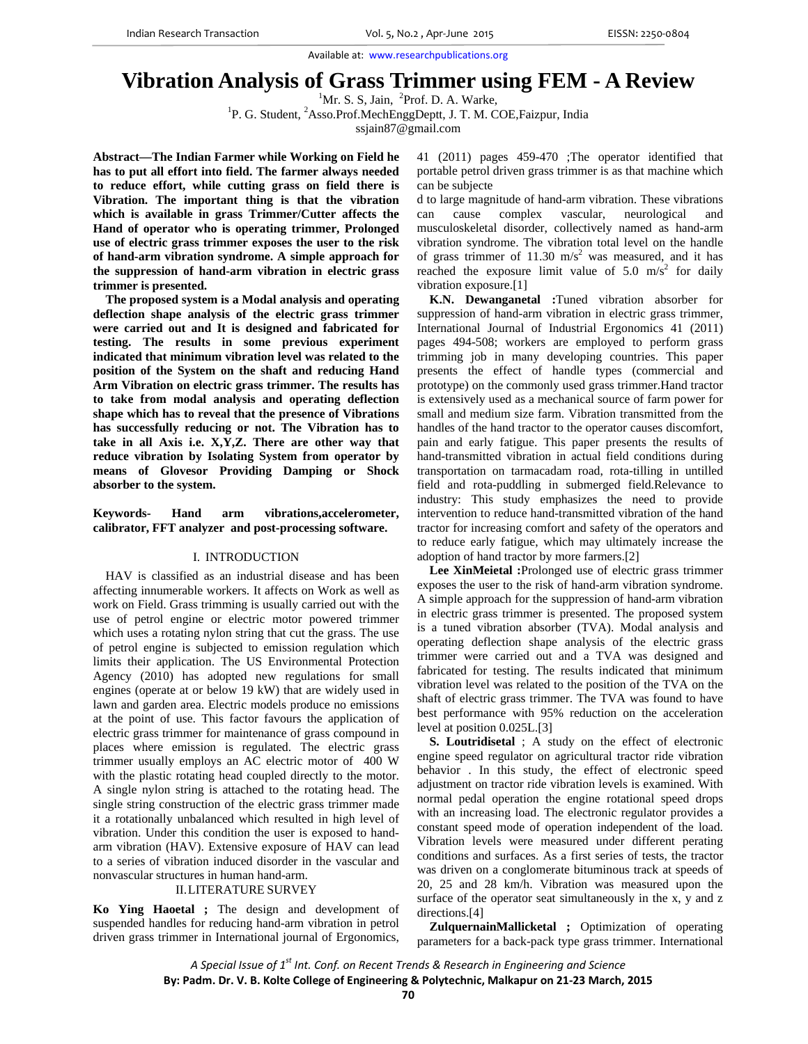# **Vibration Analysis of Grass Trimmer using FEM - A Review**

 ${}^{1}$ Mr. S. S, Jain,  ${}^{2}$ 

<sup>1</sup>Mr. S. S, Jain, <sup>2</sup>Prof. D. A. Warke,<br><sup>1</sup>P. G. Student, <sup>2</sup>Asso.Prof.MechEnggDeptt, J. T. M. COE,Faizpur, India

ssjain87@gmail.com

**Abstract—The Indian Farmer while Working on Field he has to put all effort into field. The farmer always needed to reduce effort, while cutting grass on field there is Vibration. The important thing is that the vibration which is available in grass Trimmer/Cutter affects the Hand of operator who is operating trimmer, Prolonged use of electric grass trimmer exposes the user to the risk of hand-arm vibration syndrome. A simple approach for the suppression of hand-arm vibration in electric grass trimmer is presented.** 

**The proposed system is a Modal analysis and operating deflection shape analysis of the electric grass trimmer were carried out and It is designed and fabricated for testing. The results in some previous experiment indicated that minimum vibration level was related to the position of the System on the shaft and reducing Hand Arm Vibration on electric grass trimmer. The results has to take from modal analysis and operating deflection shape which has to reveal that the presence of Vibrations has successfully reducing or not. The Vibration has to take in all Axis i.e. X,Y,Z. There are other way that reduce vibration by Isolating System from operator by means of Glovesor Providing Damping or Shock absorber to the system.** 

**Keywords- Hand arm vibrations,accelerometer, calibrator, FFT analyzer and post-processing software.** 

# I. INTRODUCTION

 HAV is classified as an industrial disease and has been affecting innumerable workers. It affects on Work as well as work on Field. Grass trimming is usually carried out with the use of petrol engine or electric motor powered trimmer which uses a rotating nylon string that cut the grass. The use of petrol engine is subjected to emission regulation which limits their application. The US Environmental Protection Agency (2010) has adopted new regulations for small engines (operate at or below 19 kW) that are widely used in lawn and garden area. Electric models produce no emissions at the point of use. This factor favours the application of electric grass trimmer for maintenance of grass compound in places where emission is regulated. The electric grass trimmer usually employs an AC electric motor of 400 W with the plastic rotating head coupled directly to the motor. A single nylon string is attached to the rotating head. The single string construction of the electric grass trimmer made it a rotationally unbalanced which resulted in high level of vibration. Under this condition the user is exposed to handarm vibration (HAV). Extensive exposure of HAV can lead to a series of vibration induced disorder in the vascular and nonvascular structures in human hand-arm.

## II.LITERATURE SURVEY

**Ko Ying Haoetal ;** The design and development of suspended handles for reducing hand-arm vibration in petrol driven grass trimmer in International journal of Ergonomics, 41 (2011) pages 459-470 ;The operator identified that portable petrol driven grass trimmer is as that machine which can be subjecte

d to large magnitude of hand-arm vibration. These vibrations can cause complex vascular, neurological and musculoskeletal disorder, collectively named as hand-arm vibration syndrome. The vibration total level on the handle of grass trimmer of 11.30  $\text{m/s}^2$  was measured, and it has reached the exposure limit value of  $5.0 \text{ m/s}^2$  for daily vibration exposure.[1]

 **K.N. Dewanganetal :**Tuned vibration absorber for suppression of hand-arm vibration in electric grass trimmer, International Journal of Industrial Ergonomics 41 (2011) pages 494-508; workers are employed to perform grass trimming job in many developing countries. This paper presents the effect of handle types (commercial and prototype) on the commonly used grass trimmer.Hand tractor is extensively used as a mechanical source of farm power for small and medium size farm. Vibration transmitted from the handles of the hand tractor to the operator causes discomfort, pain and early fatigue. This paper presents the results of hand-transmitted vibration in actual field conditions during transportation on tarmacadam road, rota-tilling in untilled field and rota-puddling in submerged field.Relevance to industry: This study emphasizes the need to provide intervention to reduce hand-transmitted vibration of the hand tractor for increasing comfort and safety of the operators and to reduce early fatigue, which may ultimately increase the adoption of hand tractor by more farmers.[2]

 **Lee XinMeietal :**Prolonged use of electric grass trimmer exposes the user to the risk of hand-arm vibration syndrome. A simple approach for the suppression of hand-arm vibration in electric grass trimmer is presented. The proposed system is a tuned vibration absorber (TVA). Modal analysis and operating deflection shape analysis of the electric grass trimmer were carried out and a TVA was designed and fabricated for testing. The results indicated that minimum vibration level was related to the position of the TVA on the shaft of electric grass trimmer. The TVA was found to have best performance with 95% reduction on the acceleration level at position 0.025L.[3]

 **S. Loutridisetal** ; A study on the effect of electronic engine speed regulator on agricultural tractor ride vibration behavior . In this study, the effect of electronic speed adjustment on tractor ride vibration levels is examined. With normal pedal operation the engine rotational speed drops with an increasing load. The electronic regulator provides a constant speed mode of operation independent of the load. Vibration levels were measured under different perating conditions and surfaces. As a first series of tests, the tractor was driven on a conglomerate bituminous track at speeds of 20, 25 and 28 km/h. Vibration was measured upon the surface of the operator seat simultaneously in the x, y and z directions.[4]

 **ZulquernainMallicketal ;** Optimization of operating parameters for a back-pack type grass trimmer. International

*A Special Issue of 1st Int. Conf. on Recent Trends & Research in Engineering and Science* **By: Padm. Dr. V. B. Kolte College of Engineering & Polytechnic, Malkapur on 21‐23 March, 2015**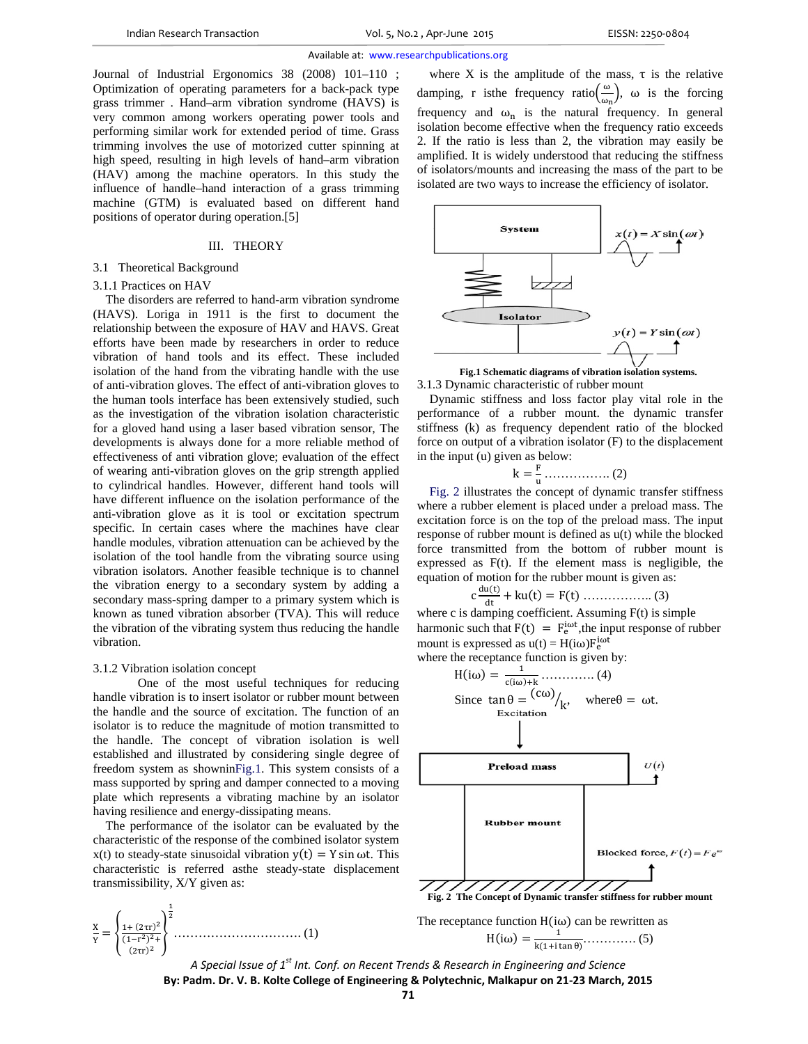Journal of Industrial Ergonomics 38 (2008) 101–110 ; Optimization of operating parameters for a back-pack type grass trimmer . Hand–arm vibration syndrome (HAVS) is very common among workers operating power tools and performing similar work for extended period of time. Grass trimming involves the use of motorized cutter spinning at high speed, resulting in high levels of hand–arm vibration (HAV) among the machine operators. In this study the influence of handle–hand interaction of a grass trimming machine (GTM) is evaluated based on different hand positions of operator during operation.[5]

## III. THEORY

# 3.1 Theoretical Background

#### 3.1.1 Practices on HAV

 The disorders are referred to hand-arm vibration syndrome (HAVS). Loriga in 1911 is the first to document the relationship between the exposure of HAV and HAVS. Great efforts have been made by researchers in order to reduce vibration of hand tools and its effect. These included isolation of the hand from the vibrating handle with the use of anti-vibration gloves. The effect of anti-vibration gloves to the human tools interface has been extensively studied, such as the investigation of the vibration isolation characteristic for a gloved hand using a laser based vibration sensor, The developments is always done for a more reliable method of effectiveness of anti vibration glove; evaluation of the effect of wearing anti-vibration gloves on the grip strength applied to cylindrical handles. However, different hand tools will have different influence on the isolation performance of the anti-vibration glove as it is tool or excitation spectrum specific. In certain cases where the machines have clear handle modules, vibration attenuation can be achieved by the isolation of the tool handle from the vibrating source using vibration isolators. Another feasible technique is to channel the vibration energy to a secondary system by adding a secondary mass-spring damper to a primary system which is known as tuned vibration absorber (TVA). This will reduce the vibration of the vibrating system thus reducing the handle vibration.

#### 3.1.2 Vibration isolation concept

One of the most useful techniques for reducing handle vibration is to insert isolator or rubber mount between the handle and the source of excitation. The function of an isolator is to reduce the magnitude of motion transmitted to the handle. The concept of vibration isolation is well established and illustrated by considering single degree of freedom system as showninFig.1. This system consists of a mass supported by spring and damper connected to a moving plate which represents a vibrating machine by an isolator having resilience and energy-dissipating means.

 The performance of the isolator can be evaluated by the characteristic of the response of the combined isolator system  $x(t)$  to steady-state sinusoidal vibration  $y(t) = Y \sin \omega t$ . This characteristic is referred asthe steady-state displacement transmissibility, X/Y given as:



where X is the amplitude of the mass,  $\tau$  is the relative damping, r is the frequency ratio $\left(\frac{\omega}{\omega_n}\right)$ ,  $\omega$  is the forcing frequency and  $\omega_n$  is the natural frequency. In general isolation become effective when the frequency ratio exceeds 2. If the ratio is less than 2, the vibration may easily be amplified. It is widely understood that reducing the stiffness of isolators/mounts and increasing the mass of the part to be isolated are two ways to increase the efficiency of isolator.



**Fig.1 Schematic diagrams of vibration isolation systems.**  3.1.3 Dynamic characteristic of rubber mount

Dynamic stiffness and loss factor play vital role in the performance of a rubber mount. the dynamic transfer stiffness (k) as frequency dependent ratio of the blocked force on output of a vibration isolator (F) to the displacement in the input (u) given as below:

$$
k = \frac{F}{u} \dots \dots \dots \dots \dots \dots (2)
$$

Fig. 2 illustrates the concept of dynamic transfer stiffness where a rubber element is placed under a preload mass. The excitation force is on the top of the preload mass. The input response of rubber mount is defined as u(t) while the blocked force transmitted from the bottom of rubber mount is expressed as F(t). If the element mass is negligible, the equation of motion for the rubber mount is given as:

c ୢ୳ሺ୲ሻ ୢ୲ kuሺtሻ ൌ Fሺtሻ …………….. (3)

where c is damping coefficient. Assuming  $F(t)$  is simple harmonic such that  $F(t) = F_e^{i\omega t}$ , the input response of rubber mount is expressed as  $u(t) = H(i\omega)F_e^{i\omega t}$ 

where the receptance function is given by:



*A Special Issue of 1st Int. Conf. on Recent Trends & Research in Engineering and Science* **By: Padm. Dr. V. B. Kolte College of Engineering & Polytechnic, Malkapur on 21‐23 March, 2015**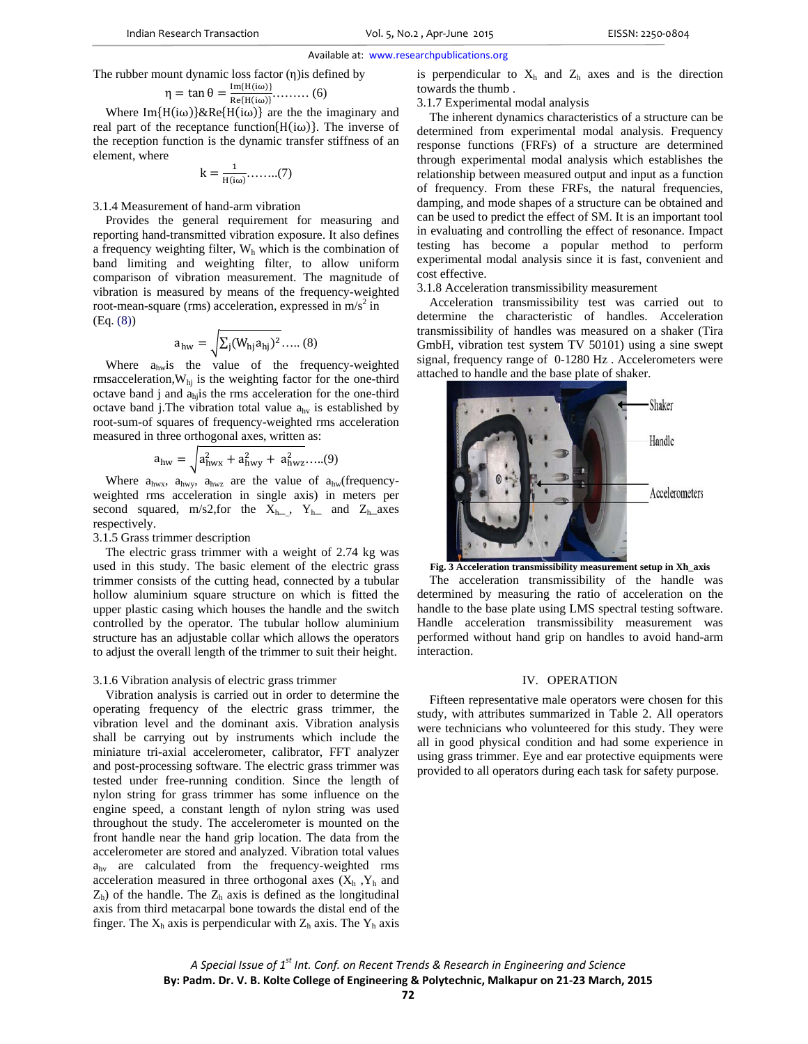The rubber mount dynamic loss factor (η)is defined by

$$
\eta = \tan \theta = \frac{\text{Im}\{H(i\omega)\}}{\text{Re}\{H(i\omega)\}} \dots \dots \dots \tag{6}
$$

Where Im $\{H(i\omega)\}\&R$ e $\{H(i\omega)\}\$  are the the imaginary and real part of the receptance function $\{H(i\omega)\}\$ . The inverse of the reception function is the dynamic transfer stiffness of an element, where

$$
k=\frac{1}{H(i\omega)}.\ldots....(7)
$$

3.1.4 Measurement of hand-arm vibration

Provides the general requirement for measuring and reporting hand-transmitted vibration exposure. It also defines a frequency weighting filter,  $W<sub>h</sub>$  which is the combination of band limiting and weighting filter, to allow uniform comparison of vibration measurement. The magnitude of vibration is measured by means of the frequency-weighted root-mean-square (rms) acceleration, expressed in  $m/s^2$  in (Eq. (8))

$$
a_{hw} = \sqrt{\sum_{j} (W_{hj} a_{hj})^2} \dots (8)
$$

Where  $a_{hw}$  is the value of the frequency-weighted rmsacceleration, $W_{hi}$  is the weighting factor for the one-third octave band  $j$  and  $a_{hj}$  is the rms acceleration for the one-third octave band j.The vibration total value  $a<sub>hv</sub>$  is established by root-sum-of squares of frequency-weighted rms acceleration measured in three orthogonal axes, written as:

$$
a_{hw} = \sqrt{a_{hwx}^2 + a_{hwy}^2 + a_{hwz}^2 + \ldots (9)}
$$

Where  $a_{hwx}$ ,  $a_{hwx}$ ,  $a_{hwx}$  are the value of  $a_{hw}$  (frequencyweighted rms acceleration in single axis) in meters per second squared, m/s2,for the  $X_{h}$ ,  $Y_{h}$  and  $Z_{h}$  axes respectively.

# 3.1.5 Grass trimmer description

The electric grass trimmer with a weight of 2.74 kg was used in this study. The basic element of the electric grass trimmer consists of the cutting head, connected by a tubular hollow aluminium square structure on which is fitted the upper plastic casing which houses the handle and the switch controlled by the operator. The tubular hollow aluminium structure has an adjustable collar which allows the operators to adjust the overall length of the trimmer to suit their height.

#### 3.1.6 Vibration analysis of electric grass trimmer

Vibration analysis is carried out in order to determine the operating frequency of the electric grass trimmer, the vibration level and the dominant axis. Vibration analysis shall be carrying out by instruments which include the miniature tri-axial accelerometer, calibrator, FFT analyzer and post-processing software. The electric grass trimmer was tested under free-running condition. Since the length of nylon string for grass trimmer has some influence on the engine speed, a constant length of nylon string was used throughout the study. The accelerometer is mounted on the front handle near the hand grip location. The data from the accelerometer are stored and analyzed. Vibration total values  $a<sub>hv</sub>$  are calculated from the frequency-weighted rms acceleration measured in three orthogonal axes  $(X_h, Y_h, Y_h)$  $Z<sub>h</sub>$ ) of the handle. The  $Z<sub>h</sub>$  axis is defined as the longitudinal axis from third metacarpal bone towards the distal end of the finger. The  $X_h$  axis is perpendicular with  $Z_h$  axis. The  $Y_h$  axis is perpendicular to  $X_h$  and  $Z_h$  axes and is the direction towards the thumb .

3.1.7 Experimental modal analysis

The inherent dynamics characteristics of a structure can be determined from experimental modal analysis. Frequency response functions (FRFs) of a structure are determined through experimental modal analysis which establishes the relationship between measured output and input as a function of frequency. From these FRFs, the natural frequencies, damping, and mode shapes of a structure can be obtained and can be used to predict the effect of SM. It is an important tool in evaluating and controlling the effect of resonance. Impact testing has become a popular method to perform experimental modal analysis since it is fast, convenient and cost effective.

3.1.8 Acceleration transmissibility measurement

Acceleration transmissibility test was carried out to determine the characteristic of handles. Acceleration transmissibility of handles was measured on a shaker (Tira GmbH, vibration test system TV 50101) using a sine swept signal, frequency range of 0-1280 Hz . Accelerometers were attached to handle and the base plate of shaker.



**Fig. 3 Acceleration transmissibility measurement setup in Xh\_axis**  The acceleration transmissibility of the handle was determined by measuring the ratio of acceleration on the handle to the base plate using LMS spectral testing software. Handle acceleration transmissibility measurement was performed without hand grip on handles to avoid hand-arm interaction.

## IV. OPERATION

Fifteen representative male operators were chosen for this study, with attributes summarized in Table 2. All operators were technicians who volunteered for this study. They were all in good physical condition and had some experience in using grass trimmer. Eye and ear protective equipments were provided to all operators during each task for safety purpose.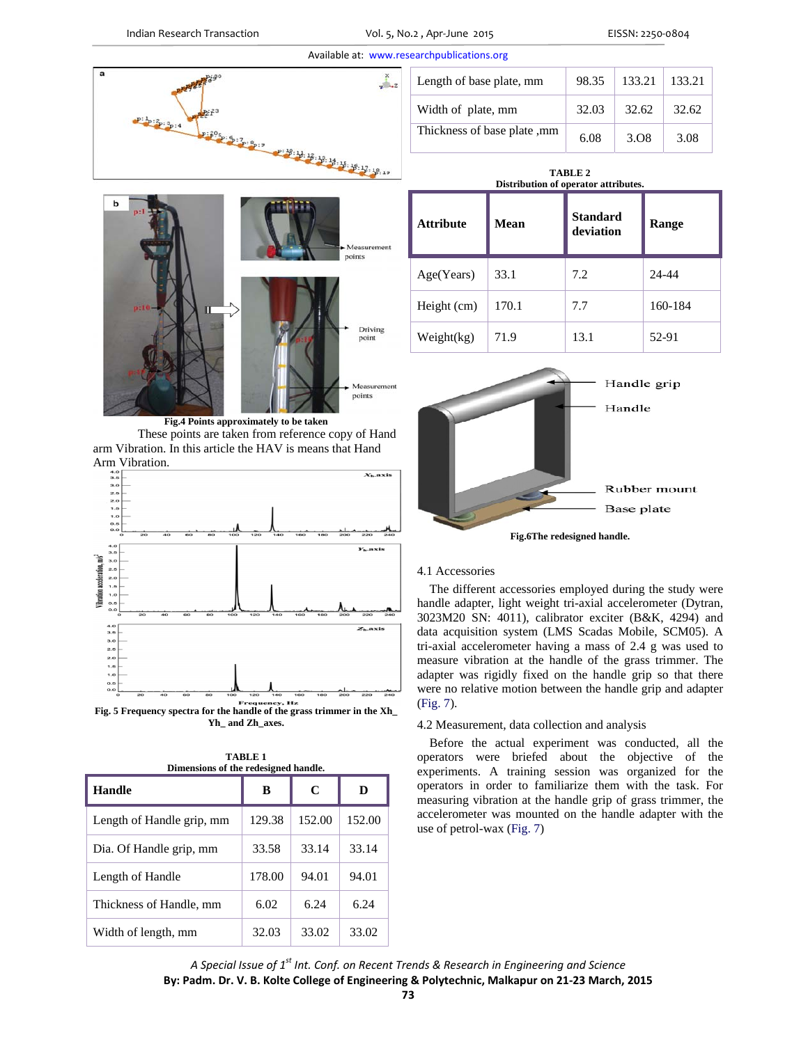

**Fig.4 Points approximately to be taken**  These points are taken from reference copy of Hand arm Vibration. In this article the HAV is means that Hand Arm Vibration.



**Fig. 5 Frequency spectra for the handle of the grass trimmer in the Xh\_ Yh\_ and Zh\_axes.** 

| Dimensions of the redesigned handle. |        |        |        |
|--------------------------------------|--------|--------|--------|
| Handle                               | в      | C      | D      |
| Length of Handle grip, mm            | 129.38 | 152.00 | 152.00 |
| Dia. Of Handle grip, mm              | 33.58  | 33.14  | 33.14  |
| Length of Handle                     | 178.00 | 94.01  | 94.01  |
| Thickness of Handle, mm              | 6.02   | 6.24   | 6.24   |
| Width of length, mm                  | 32.03  | 33.02  | 33.02  |

| <b>TABLE 1</b>                       |  |  |
|--------------------------------------|--|--|
| Dimensions of the redesigned handle. |  |  |
|                                      |  |  |

| Length of base plate, mm       | 98.35 | 133.21           | 133.21 |
|--------------------------------|-------|------------------|--------|
| Width of plate, mm             | 32.03 | 32.62            | 32.62  |
| mm Thickness of base plate, mm | 6.08  | 3.O <sub>8</sub> | 3.08   |

|                                            | TABLE 2 |  |
|--------------------------------------------|---------|--|
| <b>Distribution of operator attributes</b> |         |  |

| <b>Attribute</b> | Mean  | <b>Standard</b><br>deviation | Range   |
|------------------|-------|------------------------------|---------|
| Age(Years)       | 33.1  | 7.2                          | 24-44   |
| Height (cm)      | 170.1 | 7.7                          | 160-184 |
| Weight(kg)       | 71.9  | 13.1                         | 52-91   |



# 4.1 Accessories

The different accessories employed during the study were handle adapter, light weight tri-axial accelerometer (Dytran, 3023M20 SN: 4011), calibrator exciter (B&K, 4294) and data acquisition system (LMS Scadas Mobile, SCM05). A tri-axial accelerometer having a mass of 2.4 g was used to measure vibration at the handle of the grass trimmer. The adapter was rigidly fixed on the handle grip so that there were no relative motion between the handle grip and adapter (Fig. 7).

# 4.2 Measurement, data collection and analysis

Before the actual experiment was conducted, all the operators were briefed about the objective of the experiments. A training session was organized for the operators in order to familiarize them with the task. For measuring vibration at the handle grip of grass trimmer, the accelerometer was mounted on the handle adapter with the use of petrol-wax (Fig. 7)

*A Special Issue of 1st Int. Conf. on Recent Trends & Research in Engineering and Science* **By: Padm. Dr. V. B. Kolte College of Engineering & Polytechnic, Malkapur on 21‐23 March, 2015**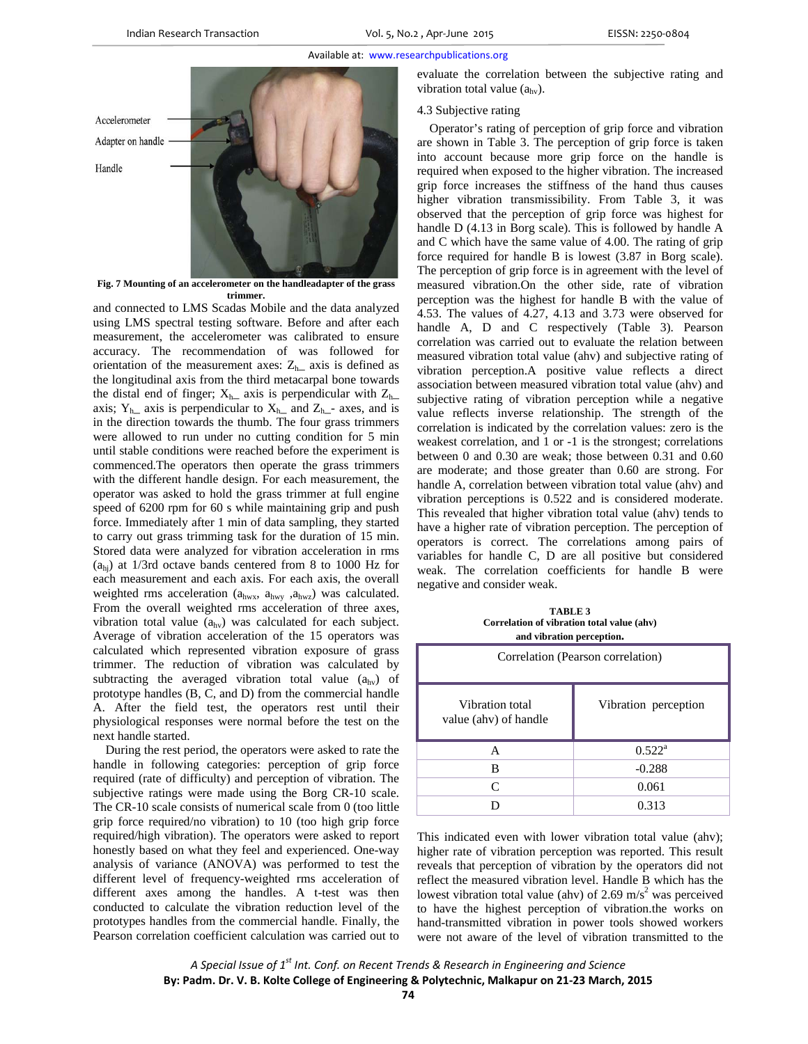

**Fig. 7 Mounting of an accelerometer on the handleadapter of the grass trimmer.** 

and connected to LMS Scadas Mobile and the data analyzed using LMS spectral testing software. Before and after each measurement, the accelerometer was calibrated to ensure accuracy. The recommendation of was followed for orientation of the measurement axes:  $Z_{h-}$  axis is defined as the longitudinal axis from the third metacarpal bone towards the distal end of finger;  $X_{h-}$  axis is perpendicular with  $Z_{h-}$ axis;  $Y_{h}$  axis is perpendicular to  $X_{h}$  and  $Z_{h}$  axes, and is in the direction towards the thumb. The four grass trimmers were allowed to run under no cutting condition for 5 min until stable conditions were reached before the experiment is commenced.The operators then operate the grass trimmers with the different handle design. For each measurement, the operator was asked to hold the grass trimmer at full engine speed of 6200 rpm for 60 s while maintaining grip and push force. Immediately after 1 min of data sampling, they started to carry out grass trimming task for the duration of 15 min. Stored data were analyzed for vibration acceleration in rms (ahj) at 1/3rd octave bands centered from 8 to 1000 Hz for each measurement and each axis. For each axis, the overall weighted rms acceleration (ahwx, ahwy ,ahwz) was calculated. From the overall weighted rms acceleration of three axes, vibration total value (ahv) was calculated for each subject. Average of vibration acceleration of the 15 operators was calculated which represented vibration exposure of grass trimmer. The reduction of vibration was calculated by subtracting the averaged vibration total value  $(a<sub>hv</sub>)$  of prototype handles (B, C, and D) from the commercial handle A. After the field test, the operators rest until their physiological responses were normal before the test on the next handle started.

During the rest period, the operators were asked to rate the handle in following categories: perception of grip force required (rate of difficulty) and perception of vibration. The subjective ratings were made using the Borg CR-10 scale. The CR-10 scale consists of numerical scale from 0 (too little grip force required/no vibration) to 10 (too high grip force required/high vibration). The operators were asked to report honestly based on what they feel and experienced. One-way analysis of variance (ANOVA) was performed to test the different level of frequency-weighted rms acceleration of different axes among the handles. A t-test was then conducted to calculate the vibration reduction level of the prototypes handles from the commercial handle. Finally, the Pearson correlation coefficient calculation was carried out to evaluate the correlation between the subjective rating and vibration total value  $(a<sub>hv</sub>)$ .

## 4.3 Subjective rating

Operator's rating of perception of grip force and vibration are shown in Table 3. The perception of grip force is taken into account because more grip force on the handle is required when exposed to the higher vibration. The increased grip force increases the stiffness of the hand thus causes higher vibration transmissibility. From Table 3, it was observed that the perception of grip force was highest for handle D (4.13 in Borg scale). This is followed by handle A and C which have the same value of 4.00. The rating of grip force required for handle B is lowest (3.87 in Borg scale). The perception of grip force is in agreement with the level of measured vibration.On the other side, rate of vibration perception was the highest for handle B with the value of 4.53. The values of 4.27, 4.13 and 3.73 were observed for handle A, D and C respectively (Table 3). Pearson correlation was carried out to evaluate the relation between measured vibration total value (ahv) and subjective rating of vibration perception.A positive value reflects a direct association between measured vibration total value (ahv) and subjective rating of vibration perception while a negative value reflects inverse relationship. The strength of the correlation is indicated by the correlation values: zero is the weakest correlation, and 1 or -1 is the strongest; correlations between 0 and 0.30 are weak; those between 0.31 and 0.60 are moderate; and those greater than 0.60 are strong. For handle A, correlation between vibration total value (ahv) and vibration perceptions is 0.522 and is considered moderate. This revealed that higher vibration total value (ahv) tends to have a higher rate of vibration perception. The perception of operators is correct. The correlations among pairs of variables for handle C, D are all positive but considered weak. The correlation coefficients for handle B were negative and consider weak.

**TABLE 3 Correlation of vibration total value (ahv) and vibration perception.** 

| Correlation (Pearson correlation)        |                      |  |
|------------------------------------------|----------------------|--|
| Vibration total<br>value (ahv) of handle | Vibration perception |  |
| А                                        | $0.522^{\rm a}$      |  |
| B                                        | $-0.288$             |  |
| C                                        | 0.061                |  |
|                                          | 0.313                |  |

This indicated even with lower vibration total value (ahv); higher rate of vibration perception was reported. This result reveals that perception of vibration by the operators did not reflect the measured vibration level. Handle B which has the lowest vibration total value (ahv) of 2.69 m/s<sup>2</sup> was perceived to have the highest perception of vibration.the works on hand-transmitted vibration in power tools showed workers were not aware of the level of vibration transmitted to the

*A Special Issue of 1st Int. Conf. on Recent Trends & Research in Engineering and Science* **By: Padm. Dr. V. B. Kolte College of Engineering & Polytechnic, Malkapur on 21‐23 March, 2015**